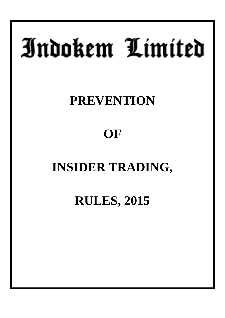# Indokem Limited

# **PREVENTION**

# **OF**

# **INSIDER TRADING,**

**RULES, 2015**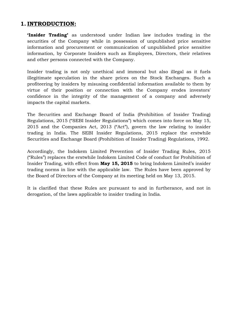# **1. INTRODUCTION:**

**'Insider Trading'** as understood under Indian law includes trading in the securities of the Company while in possession of unpublished price sensitive information and procurement or communication of unpublished price sensitive information, by Corporate Insiders such as Employees, Directors, their relatives and other persons connected with the Company.

Insider trading is not only unethical and immoral but also illegal as it fuels illegitimate speculation in the share prices on the Stock Exchanges. Such a profiteering by insiders by misusing confidential information available to them by virtue of their position or connection with the Company erodes investors' confidence in the integrity of the management of a company and adversely impacts the capital markets.

The Securities and Exchange Board of India (Prohibition of Insider Trading) Regulations, 2015 ("SEBI Insider Regulations") which comes into force on May 15, 2015 and the Companies Act, 2013 ("Act"), govern the law relating to insider trading in India. The SEBI Insider Regulations, 2015 replace the erstwhile Securities and Exchange Board (Prohibition of Insider Trading) Regulations, 1992.

Accordingly, the Indokem Limited Prevention of Insider Trading Rules, 2015 ("Rules") replaces the erstwhile Indokem Limited Code of conduct for Prohibition of Insider Trading, with effect from **May 15, 2015** to bring Indokem Limited's insider trading norms in line with the applicable law. The Rules have been approved by the Board of Directors of the Company at its meeting held on May 13, 2015.

It is clarified that these Rules are pursuant to and in furtherance, and not in derogation, of the laws applicable to insider trading in India.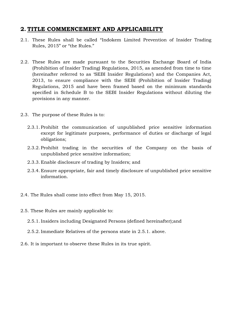# **2. TITLE COMMENCEMENT AND APPLICABILITY**

- 2.1. These Rules shall be called "Indokem Limited Prevention of Insider Trading Rules, 2015" or "the Rules."
- 2.2. These Rules are made pursuant to the Securities Exchange Board of India (Prohibition of Insider Trading) Regulations, 2015, as amended from time to time (hereinafter referred to as 'SEBI Insider Regulations') and the Companies Act, 2013, to ensure compliance with the SEBI (Prohibition of Insider Trading) Regulations, 2015 and have been framed based on the minimum standards specified in Schedule B to the SEBI Insider Regulations without diluting the provisions in any manner.
- 2.3. The purpose of these Rules is to:
	- 2.3.1. Prohibit the communication of unpublished price sensitive information except for legitimate purposes, performance of duties or discharge of legal obligations;
	- 2.3.2. Prohibit trading in the securities of the Company on the basis of unpublished price sensitive information;
	- 2.3.3. Enable disclosure of trading by Insiders; and
	- 2.3.4. Ensure appropriate, fair and timely disclosure of unpublished price sensitive information.
- 2.4. The Rules shall come into effect from May 15, 2015.
- 2.5. These Rules are mainly applicable to:
	- 2.5.1. Insiders including Designated Persons (defined hereinafter);and
	- 2.5.2. Immediate Relatives of the persons state in 2.5.1. above.
- 2.6. It is important to observe these Rules in its true spirit.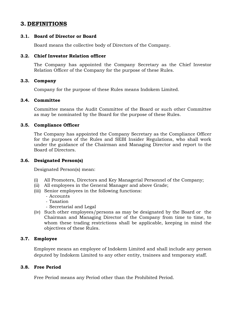# **3. DEFINITIONS**

# **3.1. Board of Director or Board**

Board means the collective body of Directors of the Company.

# **3.2. Chief Investor Relation officer**

The Company has appointed the Company Secretary as the Chief Investor Relation Officer of the Company for the purpose of these Rules.

# **3.3. Company**

Company for the purpose of these Rules means Indokem Limited.

# **3.4. Committee**

Committee means the Audit Committee of the Board or such other Committee as may be nominated by the Board for the purpose of these Rules.

# **3.5. Compliance Officer**

The Company has appointed the Company Secretary as the Compliance Officer for the purposes of the Rules and SEBI Insider Regulations, who shall work under the guidance of the Chairman and Managing Director and report to the Board of Directors.

# **3.6. Designated Person(s)**

Designated Person(s) mean:

- (i) All Promoters, Directors and Key Managerial Personnel of the Company;
- (ii) All employees in the General Manager and above Grade;
- (iii) Senior employees in the following functions:
	- Accounts
	- Taxation
	- Secretarial and Legal
- (iv) Such other employees/persons as may be designated by the Board or the Chairman and Managing Director of the Company from time to time, to whom these trading restrictions shall be applicable, keeping in mind the objectives of these Rules.

# **3.7. Employee**

Employee means an employee of Indokem Limited and shall include any person deputed by Indokem Limited to any other entity, trainees and temporary staff.

# **3.8. Free Period**

Free Period means any Period other than the Prohibited Period.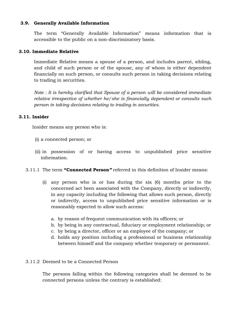# **3.9. Generally Available Information**

The term "Generally Available Information" means information that is accessible to the public on a non-discriminatory basis.

# **3.10. Immediate Relative**

Immediate Relative means a spouse of a person, and includes parent, sibling, and child of such person or of the spouse, any of whom is either dependent financially on such person, or consults such person in taking decisions relating to trading in securities.

*Note : It is hereby clarified that Spouse of a person will be considered immediate relative irrespective of whether he/she is financially dependent or consults such person in taking decisions relating to trading in securities.* 

# **3.11. Insider**

Insider means any person who is:

- (i) a connected person; or
- (ii) in possession of or having access to unpublished price sensitive information.
- 3.11.1 The term **"Connected Person***"* referred in this definition of Insider means:
	- (i) any person who is or has during the six (6) months prior to the concerned act been associated with the Company, directly or indirectly, in any capacity including the following that allows such person, directly or indirectly, access to unpublished price sensitive information or is reasonably expected to allow such access:
		- a. by reason of frequent communication with its officers; or
		- b. by being in any contractual, fiduciary or employment relationship; or
		- c. by being a director, officer or an employee of the company; or
		- d. holds any position including a professional or business relationship between himself and the company whether temporary or permanent.

# 3.11.2 Deemed to be a Connected Person

The persons falling within the following categories shall be deemed to be connected persons unless the contrary is established: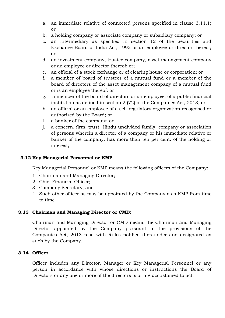- a. an immediate relative of connected persons specified in clause 3.11.1; or
- b. a holding company or associate company or subsidiary company; or
- c. an intermediary as specified in section 12 of the Securities and Exchange Board of India Act, 1992 or an employee or director thereof; or
- d. an investment company, trustee company, asset management company or an employee or director thereof; or;
- e. an official of a stock exchange or of clearing house or corporation; or
- f. a member of board of trustees of a mutual fund or a member of the board of directors of the asset management company of a mutual fund or is an employee thereof; or
- g. a member of the board of directors or an employee, of a public financial institution as defined in section 2 (72) of the Companies Act, 2013; or
- h. an official or an employee of a self-regulatory organization recognised or authorized by the Board; or
- i. a banker of the company; or
- j. a concern, firm, trust, Hindu undivided family, company or association of persons wherein a director of a company or his immediate relative or banker of the company, has more than ten per cent. of the holding or interest;

# **3.12 Key Managerial Personnel or KMP**

Key Managerial Personnel or KMP means the following officers of the Company:

- 1. Chairman and Managing Director;
- 2. Chief Financial Officer;
- 3. Company Secretary; and
- 4. Such other officer as may be appointed by the Company as a KMP from time to time.

# **3.13 Chairman and Managing Director or CMD:**

Chairman and Managing Director or CMD means the Chairman and Managing Director appointed by the Company pursuant to the provisions of the Companies Act, 2013 read with Rules notified thereunder and designated as such by the Company.

# **3.14 Officer**

Officer includes any Director, Manager or Key Managerial Personnel or any person in accordance with whose directions or instructions the Board of Directors or any one or more of the directors is or are accustomed to act.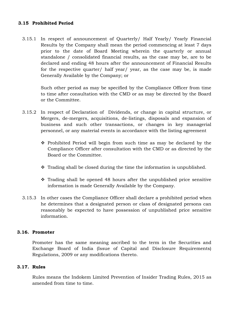# **3.15 Prohibited Period**

3.15.1 In respect of announcement of Quarterly/ Half Yearly/ Yearly Financial Results by the Company shall mean the period commencing at least 7 days prior to the date of Board Meeting wherein the quarterly or annual standalone / consolidated financial results, as the case may be, are to be declared and ending 48 hours after the announcement of Financial Results for the respective quarter/ half year/ year, as the case may be, is made Generally Available by the Company; or

Such other period as may be specified by the Compliance Officer from time to time after consultation with the CMD or as may be directed by the Board or the Committee.

- 3.15.2 In respect of Declaration of Dividends, or change in capital structure, or Mergers, de-mergers, acquisitions, de-listings, disposals and expansion of business and such other transactions, or changes in key managerial personnel, or any material events in accordance with the listing agreement
	- $\hat{\cdot}$  Prohibited Period will begin from such time as may be declared by the Compliance Officer after consultation with the CMD or as directed by the Board or the Committee.
	- $\cdot$  Trading shall be closed during the time the information is unpublished.
	- $\div$  Trading shall be opened 48 hours after the unpublished price sensitive information is made Generally Available by the Company.
- 3.15.3 In other cases the Compliance Officer shall declare a prohibited period when he determines that a designated person or class of designated persons can reasonably be expected to have possession of unpublished price sensitive information.

# **3.16. Promoter**

Promoter has the same meaning ascribed to the term in the Securities and Exchange Board of India (Issue of Capital and Disclosure Requirements) Regulations, 2009 or any modifications thereto.

# **3.17. Rules**

Rules means the Indokem Limited Prevention of Insider Trading Rules, 2015 as amended from time to time.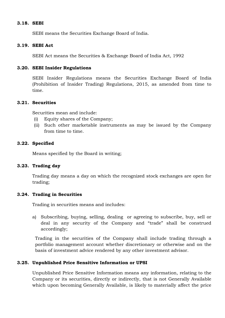### **3.18. SEBI**

SEBI means the Securities Exchange Board of India.

# **3.19. SEBI Act**

SEBI Act means the Securities & Exchange Board of India Act, 1992

## **3.20. SEBI Insider Regulations**

SEBI Insider Regulations means the Securities Exchange Board of India (Prohibition of Insider Trading) Regulations, 2015, as amended from time to time.

# **3.21. Securities**

Securities mean and include:

- (i) Equity shares of the Company;
- (ii) Such other marketable instruments as may be issued by the Company from time to time.

## **3.22. Specified**

Means specified by the Board in writing;

## **3.23. Trading day**

Trading day means a day on which the recognized stock exchanges are open for trading;

# **3.24. Trading in Securities**

Trading in securities means and includes:

a) Subscribing, buying, selling, dealing or agreeing to subscribe, buy, sell or deal in any security of the Company and "trade" shall be construed accordingly;

Trading in the securities of the Company shall include trading through a portfolio management account whether discretionary or otherwise and on the basis of investment advice rendered by any other investment advisor.

# **3.25. Unpublished Price Sensitive Information or UPSI**

Unpublished Price Sensitive Information means any information, relating to the Company or its securities, directly or indirectly, that is not Generally Available which upon becoming Generally Available, is likely to materially affect the price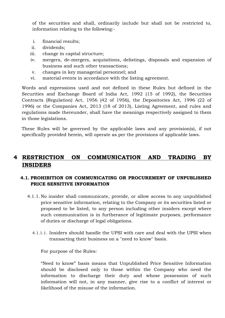of the securities and shall, ordinarily include but shall not be restricted to, information relating to the following:-

- i. financial results;
- ii. dividends;
- iii. change in capital structure;
- iv. mergers, de-mergers, acquisitions, delistings, disposals and expansion of business and such other transactions;
- v. changes in key managerial personnel; and
- vi. material events in accordance with the listing agreement.

Words and expressions used and not defined in these Rules but defined in the Securities and Exchange Board of India Act, 1992 (15 of 1992), the Securities Contracts (Regulation) Act, 1956 (42 of 1956), the Depositories Act, 1996 (22 of 1996) or the Companies Act, 2013 (18 of 2013), Listing Agreement, and rules and regulations made thereunder, shall have the meanings respectively assigned to them in those legislations.

These Rules will be governed by the applicable laws and any provision(s), if not specifically provided herein, will operate as per the provisions of applicable laws.

# **4 RESTRICTION ON COMMUNICATION AND TRADING BY INSIDERS**

# **4.1. PROHIBITION ON COMMUNICATING OR PROCUREMENT OF UNPUBLISHED PRICE SENSITIVE INFORMATION**

- 4.1.1. No insider shall communicate, provide, or allow access to any unpublished price sensitive information, relating to the Company or its securities listed or proposed to be listed, to any person including other insiders except where such communication is in furtherance of legitimate purposes, performance of duties or discharge of legal obligations.
	- 4.1.1.1. Insiders should handle the UPSI with care and deal with the UPSI when transacting their business on a "need to know" basis.

For purpose of the Rules:

"Need to know" basis means that Unpublished Price Sensitive Information should be disclosed only to those within the Company who need the information to discharge their duty and whose possession of such information will not, in any manner, give rise to a conflict of interest or likelihood of the misuse of the information.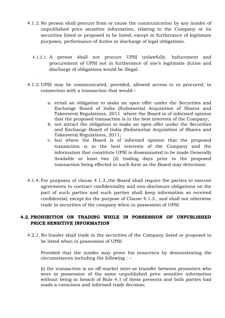- 4.1.2. No person shall procure from or cause the communication by any insider of unpublished price sensitive information, relating to the Company or its securities listed or proposed to be listed, except in furtherance of legitimate purposes, performance of duties or discharge of legal obligations.
	- 4.1.2.1. A person shall not procure UPSI unlawfully. Inducement and procurement of UPSI not in furtherance of one's legitimate duties and discharge of obligations would be illegal.
- 4.1.3. UPSI may be communicated, provided, allowed access to or procured, in connection with a transaction that would:–
	- a. entail an obligation to make an open offer under the Securities and Exchange Board of India (Substantial Acquisition of Shares and Takeovers) Regulations, 2011 where the Board is of informed opinion that the proposed transaction is in the best interests of the Company;
	- b. not attract the obligation to make an open offer under the Securities and Exchange Board of India (Substantial Acquisition of Shares and Takeovers) Regulations, 2011;
	- c. but where the Board is of informed opinion that the proposed transaction is in the best interests of the Company and the information that constitute UPSI is disseminated to be made Generally Available at least two (2) trading days prior to the proposed transaction being effected in such form as the Board may determine.
- 4.1.4. For purposes of clause 4.1.3.,the Board shall require the parties to execute agreements to contract confidentiality and non-disclosure obligations on the part of such parties and such parties shall keep information so received confidential, except for the purpose of Clause 4.1.3., and shall not otherwise trade in securities of the company when in possession of UPSI.

# **4.2. PROHIBITION ON TRADING WHILE IN POSSESSION OF UNPUBLISHED PRICE SENSITIVE INFORMATION**

4.2.1. No Insider shall trade in the securities of the Company listed or proposed to be listed when in possession of UPSI.

Provided that the insider may prove his innocence by demonstrating the circumstances including the following : –

(i) the transaction is an off-market inter-se transfer between promoters who were in possession of the same unpublished price sensitive information without being in breach of Rule 4.1 of these presents and both parties had made a conscious and informed trade decision;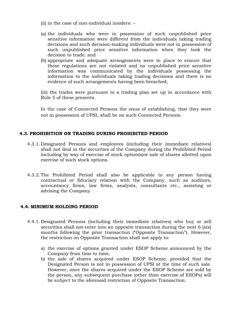- (ii) in the case of non-individual insiders: –
- (a) the individuals who were in possession of such unpublished price sensitive information were different from the individuals taking trading decisions and such decision-making individuals were not in possession of such unpublished price sensitive information when they took the decision to trade; and
- (b) appropriate and adequate arrangements were in place to ensure that these regulations are not violated and no unpublished price sensitive information was communicated by the individuals possessing the information to the individuals taking trading decisions and there is no evidence of such arrangements having been breached;

(iii) the trades were pursuant to a trading plan set up in accordance with Rule 5 of these presents.

In the case of Connected Persons the onus of establishing, that they were not in possession of UPSI, shall be on such Connected Persons.

# **4.3. PROHIBITION ON TRADING DURING PROHIBITED PERIOD**

- 4.3.1. Designated Persons and employees (including their immediate relatives) shall not deal in the securities of the Company during the Prohibited Period including by way of exercise of stock option(s)or sale of shares allotted upon exercise of such stock options.
- 4.3.2. The Prohibited Period shall also be applicable to any person having contractual or fiduciary relation with the Company, such as auditors, accountancy firms, law firms, analysts, consultants etc., assisting or advising the Company.

# **4.4. MINIMUM HOLDING PERIOD**

- 4.4.1. Designated Persons (including their immediate relatives) who buy or sell securities shall not enter into an opposite transaction during the next 6 (six) months following the prior transaction ("Opposite Transaction"). However, the restriction on Opposite Transaction shall not apply to:
	- a) the exercise of options granted under ESOP Scheme announced by the Company from time to time;
	- b) the sale of shares acquired under ESOP Scheme, provided that the Designated Person is not in possession of UPSI at the time of such sale. However, once the shares acquired under the ESOP Scheme are sold by the person, any subsequent purchase (other than exercise of ESOPs) will be subject to the aforesaid restriction of Opposite Transaction.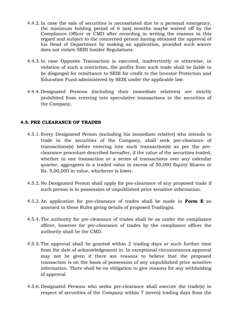- 4.4.2. In case the sale of securities is necessitated due to a personal emergency, the minimum holding period of 6 (six) months maybe waived off by the Compliance Officer or CMD after recording in writing the reasons in this regard and subject to the concerned person having obtained the approval of his Head of Department by making an application, provided such waiver does not violate SEBI Insider Regulations.
- 4.4.3. In case Opposite Transaction is executed, inadvertently or otherwise, in violation of such a restriction, the profits from such trade shall be liable to be disgorged for remittance to SEBI for credit to the Investor Protection and Education Fund administered by SEBI under the applicable law.
- 4.4.4. Designated Persons (including their immediate relatives) are strictly prohibited from entering into speculative transactions in the securities of the Company.

# **4.5. PRE CLEARANCE OF TRADES**

- 4.5.1. Every Designated Person (including his immediate relative) who intends to trade in the securities of the Company, shall seek pre-clearance of transactions(s) before entering into such transaction(s) as per the preclearance procedure described hereafter, if the value of the securities traded, whether in one transaction or a series of transactions over any calendar quarter, aggregates to a traded value in excess of 50,000 Equity Shares or Rs. 5,00,000 in value, whichever is lower.
- 4.5.2. No Designated Person shall apply for pre-clearance of any proposed trade if such person is in possession of unpublished price sensitive information.
- 4.5.3. An application for pre-clearance of trades shall be made in **Form E** as annexed to these Rules giving details of proposed Trading(s).
- 4.5.4. The authority for pre-clearance of trades shall be as under the compliance officer, however for pre-clearance of trades by the compliance officer the authority shall be the CMD.
- 4.5.5. The approval shall be granted within 2 trading days or such further time from the date of acknowledgement in. In exceptional circumstances approval may not be given if there are reasons to believe that the proposed transaction is on the basis of possession of any unpublished price sensitive information. There shall be no obligation to give reasons for any withholding of approval.
- 4.5.6. Designated Persons who seeks pre-clearance shall execute the trade(s) in respect of securities of the Company within 7 (seven) trading days from the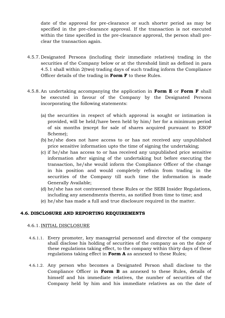date of the approval for pre-clearance or such shorter period as may be specified in the pre-clearance approval. If the transaction is not executed within the time specified in the pre-clearance approval, the person shall preclear the transaction again.

- 4.5.7. Designated Persons (including their immediate relatives) trading in the securities of the Company below or at the threshold limit as defined in para 4.5.1 shall within 2(two) trading days of such trading inform the Compliance Officer details of the trading in **Form F** to these Rules.
- 4.5.8. An undertaking accompanying the application in **Form E** or **Form F** shall be executed in favour of the Company by the Designated Persons incorporating the following statements:
	- (a) the securities in respect of which approval is sought or intimation is provided, will be held/have been held by him/ her for a minimum period of six months (except for sale of shares acquired pursuant to ESOP Scheme);
	- (b) he/she does not have access to or has not received any unpublished price sensitive information upto the time of signing the undertaking;
	- (c) if he/she has access to or has received any unpublished price sensitive information after signing of the undertaking but before executing the transaction, he/she would inform the Compliance Officer of the change in his position and would completely refrain from trading in the securities of the Company till such time the information is made Generally Available;
	- (d) he/she has not contravened these Rules or the SEBI Insider Regulations, including any amendments thereto, as notified from time to time; and
	- (e) he/she has made a full and true disclosure required in the matter.

# **4.6. DISCLOSURE AND REPORTING REQUIREMENTS**

#### 4.6.1. INITIAL DISCLOSURE

- 4.6.1.1. Every promoter, key managerial personnel and director of the company shall disclose his holding of securities of the company as on the date of these regulations taking effect, to the company within thirty days of these regulations taking effect in **Form A** as annexed to these Rules;
- 4.6.1.2. Any person who becomes a Designated Person shall disclose to the Compliance Officer in **Form B** as annexed to these Rules, details of himself and his immediate relatives, the number of securities of the Company held by him and his immediate relatives as on the date of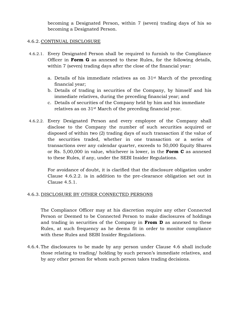becoming a Designated Person, within 7 (seven) trading days of his so becoming a Designated Person.

# 4.6.2. CONTINUAL DISCLOSURE

- 4.6.2.1. Every Designated Person shall be required to furnish to the Compliance Officer in **Form G** as annexed to these Rules, for the following details, within 7 (seven) trading days after the close of the financial year:
	- a. Details of his immediate relatives as on 31st March of the preceding financial year;
	- b. Details of trading in securities of the Company, by himself and his immediate relatives, during the preceding financial year; and
	- c. Details of securities of the Company held by him and his immediate relatives as on 31st March of the preceding financial year.
- 4.6.2.2. Every Designated Person and every employee of the Company shall disclose to the Company the number of such securities acquired or disposed of within two (2) trading days of such transaction if the value of the securities traded, whether in one transaction or a series of transactions over any calendar quarter, exceeds to 50,000 Equity Shares or Rs. 5,00,000 in value, whichever is lower, in the **Form C** as annexed to these Rules, if any, under the SEBI Insider Regulations.

For avoidance of doubt, it is clarified that the disclosure obligation under Clause 4.6.2.2. is in addition to the pre-clearance obligation set out in Clause 4.5.1.

# 4.6.3. DISCLOSURE BY OTHER CONNECTED PERSONS

The Compliance Officer may at his discretion require any other Connected Person or Deemed to be Connected Person to make disclosures of holdings and trading in securities of the Company in **From D** as annexed to these Rules, at such frequency as he deems fit in order to monitor compliance with these Rules and SEBI Insider Regulations.

4.6.4. The disclosures to be made by any person under Clause 4.6 shall include those relating to trading/ holding by such person's immediate relatives, and by any other person for whom such person takes trading decisions.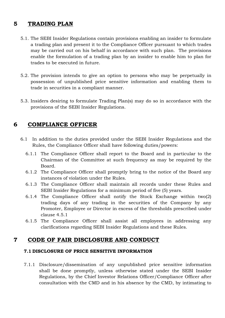# **5 TRADING PLAN**

- 5.1. The SEBI Insider Regulations contain provisions enabling an insider to formulate a trading plan and present it to the Compliance Officer pursuant to which trades may be carried out on his behalf in accordance with such plan. The provisions enable the formulation of a trading plan by an insider to enable him to plan for trades to be executed in future.
- 5.2. The provision intends to give an option to persons who may be perpetually in possession of unpublished price sensitive information and enabling them to trade in securities in a compliant manner.
- 5.3. Insiders desiring to formulate Trading Plan(s) may do so in accordance with the provisions of the SEBI Insider Regulations.

# **6 COMPLIANCE OFFICER**

- 6.1 In addition to the duties provided under the SEBI Insider Regulations and the Rules, the Compliance Officer shall have following duties/powers:
	- 6.1.1 The Compliance Officer shall report to the Board and in particular to the Chairman of the Committee at such frequency as may be required by the Board.
	- 6.1.2 The Compliance Officer shall promptly bring to the notice of the Board any instances of violation under the Rules.
	- 6.1.3 The Compliance Officer shall maintain all records under these Rules and SEBI Insider Regulations for a minimum period of five (5) years.
	- 6.1.4 The Compliance Officer shall notify the Stock Exchange within two(2) trading days of any trading in the securities of the Company by any Promoter, Employee or Director in excess of the thresholds prescribed under clause 4.5.1
	- 6.1.5 The Compliance Officer shall assist all employees in addressing any clarifications regarding SEBI Insider Regulations and these Rules.

# **7 CODE OF FAIR DISCLOSURE AND CONDUCT**

# **7.1 DISCLOSURE OF PRICE SENSITIVE INFORMATION**

7.1.1 Disclosure/dissemination of any unpublished price sensitive information shall be done promptly, unless otherwise stated under the SEBI Insider Regulations, by the Chief Investor Relations Officer/Compliance Officer after consultation with the CMD and in his absence by the CMD, by intimating to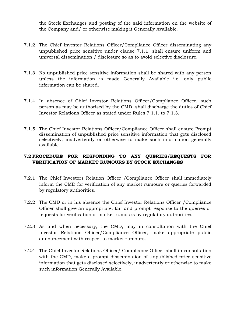the Stock Exchanges and posting of the said information on the website of the Company and/ or otherwise making it Generally Available.

- 7.1.2 The Chief Investor Relations Officer/Compliance Officer disseminating any unpublished price sensitive under clause 7.1.1. shall ensure uniform and universal dissemination / disclosure so as to avoid selective disclosure.
- 7.1.3 No unpublished price sensitive information shall be shared with any person unless the information is made Generally Available i.e. only public information can be shared.
- 7.1.4 In absence of Chief Investor Relations Officer/Compliance Officer, such person as may be authorised by the CMD, shall discharge the duties of Chief Investor Relations Officer as stated under Rules 7.1.1. to 7.1.3.
- 7.1.5 The Chief Investor Relations Officer/Compliance Officer shall ensure Prompt dissemination of unpublished price sensitive information that gets disclosed selectively, inadvertently or otherwise to make such information generally available.

# **7.2 PROCEDURE FOR RESPONDING TO ANY QUERIES/REQUESTS FOR VERIFICATION OF MARKET RUMOURS BY STOCK EXCHANGES**

- 7.2.1 The Chief Investors Relation Officer /Compliance Officer shall immediately inform the CMD for verification of any market rumours or queries forwarded by regulatory authorities.
- 7.2.2 The CMD or in his absence the Chief Investor Relations Officer /Compliance Officer shall give an appropriate, fair and prompt response to the queries or requests for verification of market rumours by regulatory authorities.
- 7.2.3 As and when necessary, the CMD, may in consultation with the Chief Investor Relations Officer/Compliance Officer, make appropriate public announcement with respect to market rumours.
- 7.2.4 The Chief Investor Relations Officer/ Compliance Officer shall in consultation with the CMD, make a prompt dissemination of unpublished price sensitive information that gets disclosed selectively, inadvertently or otherwise to make such information Generally Available.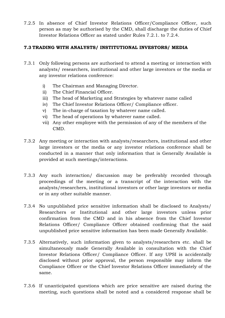7.2.5 In absence of Chief Investor Relations Officer/Compliance Officer, such person as may be authorised by the CMD, shall discharge the duties of Chief Investor Relations Officer as stated under Rules 7.2.1. to 7.2.4.

# **7.3 TRADING WITH ANALYSTS/ INSTITUTIONAL INVESTORS/ MEDIA**

- 7.3.1 Only following persons are authorised to attend a meeting or interaction with analysts/ researchers, institutional and other large investors or the media or any investor relations conference:
	- i) The Chairman and Managing Director.
	- ii) The Chief Financial Officer.
	- iii) The head of Marketing and Strategies by whatever name called
	- iv) The Chief Investor Relations Officer/ Compliance officer.
	- v) The in-charge of taxation by whatever name called.
	- vi) The head of operations by whatever name called.
	- vii) Any other employee with the permission of any of the members of the CMD.
- 7.3.2 Any meeting or interaction with analysts/researchers, institutional and other large investors or the media or any investor relations conference shall be conducted in a manner that only information that is Generally Available is provided at such meetings/interactions.
- 7.3.3 Any such interaction/ discussion may be preferably recorded through proceedings of the meeting or a transcript of the interaction with the analysts/researchers, institutional investors or other large investors or media or in any other suitable manner.
- 7.3.4 No unpublished price sensitive information shall be disclosed to Analysts/ Researchers or Institutional and other large investors unless prior confirmation from the CMD and in his absence from the Chief Investor Relations Officer/ Compliance Officer obtained confirming that the said unpublished price sensitive information has been made Generally Available.
- 7.3.5 Alternatively, such information given to analysts/researchers etc. shall be simultaneously made Generally Available in consultation with the Chief Investor Relations Officer/ Compliance Officer. If any UPSI is accidentally disclosed without prior approval, the person responsible may inform the Compliance Officer or the Chief Investor Relations Officer immediately of the same.
- 7.3.6 If unanticipated questions which are price sensitive are raised during the meeting, such questions shall be noted and a considered response shall be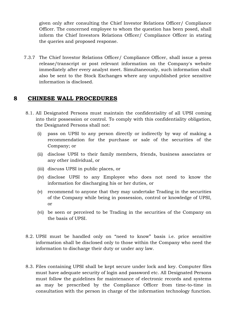given only after consulting the Chief Investor Relations Officer/ Compliance Officer. The concerned employee to whom the question has been posed, shall inform the Chief Investors Relations Officer/ Compliance Officer in stating the queries and proposed response.

7.3.7 The Chief Investor Relations Officer/ Compliance Officer, shall issue a press release/transcript or post relevant information on the Company's website immediately after every analyst meet. Simultaneously, such information shall also be sent to the Stock Exchanges where any unpublished price sensitive information is disclosed.

# **8 CHINESE WALL PROCEDURES**

- 8.1. All Designated Persons must maintain the confidentiality of all UPSI coming into their possession or control. To comply with this confidentiality obligation, the Designated Persons shall not:
	- (i) pass on UPSI to any person directly or indirectly by way of making a recommendation for the purchase or sale of the securities of the Company; or
	- (ii) disclose UPSI to their family members, friends, business associates or any other individual, or
	- (iii) discuss UPSI in public places, or
	- (iv) disclose UPSI to any Employee who does not need to know the information for discharging his or her duties, or
	- (v) recommend to anyone that they may undertake Trading in the securities of the Company while being in possession, control or knowledge of UPSI, or
	- (vi) be seen or perceived to be Trading in the securities of the Company on the basis of UPSI.
- 8.2. UPSI must be handled only on "need to know" basis i.e. price sensitive information shall be disclosed only to those within the Company who need the information to discharge their duty or under any law.
- 8.3. Files containing UPSI shall be kept secure under lock and key. Computer files must have adequate security of login and password etc. All Designated Persons must follow the guidelines for maintenance of electronic records and systems as may be prescribed by the Compliance Officer from time-to-time in consultation with the person in charge of the information technology function.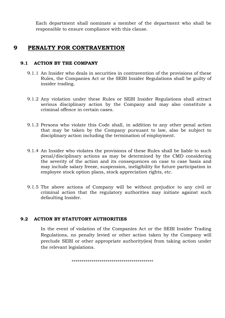Each department shall nominate a member of the department who shall be responsible to ensure compliance with this clause.

# **9 PENALTY FOR CONTRAVENTION**

# **9.1 ACTION BY THE COMPANY**

- 9.1.1 An Insider who deals in securities in contravention of the provisions of these Rules, the Companies Act or the SEBI Insider Regulations shall be guilty of insider trading.
- 9.1.2 Any violation under these Rules or SEBI Insider Regulations shall attract serious disciplinary action by the Company and may also constitute a criminal offence in certain cases.
- 9.1.3 Persons who violate this Code shall, in addition to any other penal action that may be taken by the Company pursuant to law, also be subject to disciplinary action including the termination of employment.
- 9.1.4 An Insider who violates the provisions of these Rules shall be liable to such penal/disciplinary actions as may be determined by the CMD considering the severity of the action and its consequences on case to case basis and may include salary freeze, suspension, ineligibility for future participation in employee stock option plans, stock appreciation rights, etc.
- 9.1.5 The above actions of Company will be without prejudice to any civil or criminal action that the regulatory authorities may initiate against such defaulting Insider.

# **9.2 ACTION BY STATUTORY AUTHORITIES**

In the event of violation of the Companies Act or the SEBI Insider Trading Regulations, no penalty levied or other action taken by the Company will preclude SEBI or other appropriate authority(ies) from taking action under the relevant legislations.

```
*****************************************
```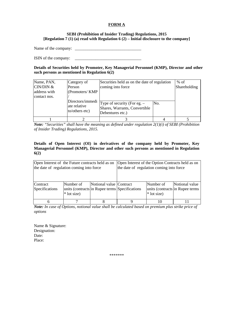#### **FORM A**

#### **SEBI (Prohibition of Insider Trading) Regulations, 2015 [Regulation 7 (1) (a) read with Regulation 6 (2) – Initial disclosure to the company]**

Name of the company:

ISIN of the company: \_\_\_\_\_\_\_\_\_\_\_\_\_\_\_\_\_\_\_\_\_\_\_\_\_\_\_\_\_\_\_\_

**Details of Securities held by Promoter, Key Managerial Personnel (KMP), Director and other such persons as mentioned in Regulation 6(2)** 

| Name, PAN,<br>CIN/DIN &<br>address with<br>contact nos. | Category of<br>Person<br>(Promoters/KMP            | Securities held as on the date of regulation<br>coming into force                  |     | $%$ of<br>Shareholding |
|---------------------------------------------------------|----------------------------------------------------|------------------------------------------------------------------------------------|-----|------------------------|
|                                                         | Directors/immedi<br>ate relative<br>to/others etc) | Type of security (For eg. $-$<br>Shares, Warrants, Convertible<br>Debentures etc.) | No. |                        |
|                                                         |                                                    |                                                                                    |     |                        |

*Note: "Securities" shall have the meaning as defined under regulation 2(1)(i) of SEBI (Prohibition of Insider Trading) Regulations, 2015.* 

#### **Details of Open Interest (OI) in derivatives of the company held by Promoter, Key Managerial Personnel (KMP), Director and other such persons as mentioned in Regulation 6(2)**

| Open Interest of the Future contracts held as on<br>the date of regulation coming into force |                                                                            |                         | Open Interest of the Option Contracts held as on<br>the date of regulation coming into force |                                                              |                |  |
|----------------------------------------------------------------------------------------------|----------------------------------------------------------------------------|-------------------------|----------------------------------------------------------------------------------------------|--------------------------------------------------------------|----------------|--|
| Contract<br>Specifications                                                                   | Number of<br>units (contracts in Rupee terms Specifications<br>* lot size) | Notional value Contract |                                                                                              | Number of<br>units (contracts in Rupee terms)<br>* lot size) | Notional value |  |
| 6                                                                                            |                                                                            |                         |                                                                                              |                                                              |                |  |

*Note: In case of Options, notional value shall be calculated based on premium plus strike price of options*

Name & Signature: Designation: Date: Place:

\*\*\*\*\*\*\*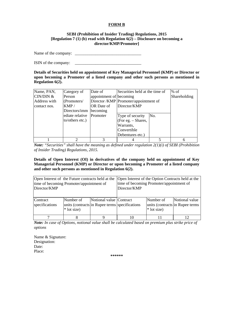#### **FORM B**

#### **SEBI (Prohibition of Insider Trading) Regulations, 2015 [Regulation 7 (1) (b) read with Regulation 6(2) – Disclosure on becoming a director/KMP/Promoter]**

Name of the company: \_\_\_\_\_\_\_\_\_\_\_\_\_\_\_\_\_\_\_\_\_\_\_\_\_\_\_\_\_\_\_\_

ISIN of the company: \_\_\_\_\_\_\_\_\_\_\_\_\_\_\_\_\_\_\_\_\_\_\_\_\_\_\_\_\_\_\_\_

**Details of Securities held on appointment of Key Managerial Personnel (KMP) or Director or upon becoming a Promoter of a listed company and other such persons as mentioned in Regulation 6(2).** 

| Name, PAN,   | Category of     | Date of                 | Securities held at the time of       |     | $%$ of       |
|--------------|-----------------|-------------------------|--------------------------------------|-----|--------------|
| CIN/DIN &    | Person          | appointment of becoming |                                      |     | Shareholding |
| Address with | (Promoters/     |                         | Director/KMP Promoter/appointment of |     |              |
| contact nos. | KMP/            | <b>OR</b> Date of       | Director/KMP                         |     |              |
|              | Directors/imm   | becoming                |                                      |     |              |
|              | ediate relative | Promoter                | Type of security                     | No. |              |
|              | to/others etc.) |                         | (For eg. – Shares,                   |     |              |
|              |                 |                         | Warrants,                            |     |              |
|              |                 |                         | Convertible                          |     |              |
|              |                 |                         | Debentures etc.)                     |     |              |
|              |                 | 3                       |                                      |     |              |

*Note: "Securities" shall have the meaning as defined under regulation 2(1)(i) of SEBI (Prohibition of Insider Trading) Regulations, 2015.* 

**Details of Open Interest (OI) in derivatives of the company held on appointment of Key Managerial Personnel (KMP) or Director or upon becoming a Promoter of a listed company and other such persons as mentioned in Regulation 6(2).** 

| Open Interest of the Future contracts held at the<br>time of becoming Promoter/appointment of<br>Director/KMP |                                                                             |                         | Open Interest of the Option Contracts held at the<br>time of becoming Promoter/appointment of<br>Director/KMP |                                                              |                |
|---------------------------------------------------------------------------------------------------------------|-----------------------------------------------------------------------------|-------------------------|---------------------------------------------------------------------------------------------------------------|--------------------------------------------------------------|----------------|
| Contract<br>specifications                                                                                    | Number of<br>units (contracts in Rupee terms specifications)<br>* lot size) | Notional value Contract |                                                                                                               | Number of<br>units (contracts in Rupee terms)<br>* lot size) | Notional value |
|                                                                                                               |                                                                             |                         |                                                                                                               |                                                              |                |

*Note: In case of Options, notional value shall be calculated based on premium plus strike price of options*

Name & Signature: Designation: Date: Place:

**\*\*\*\*\*\***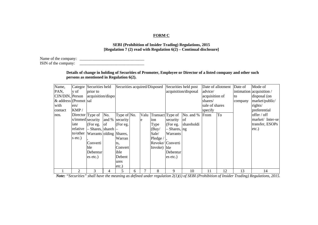#### **FORM C**

#### **SEBI (Prohibition of Insider Trading) Regulations, 2015 [Regulation 7 (2) read with Regulation 6(2) – Continual disclosure]**

Name of the company: \_\_\_\_\_\_\_\_\_\_\_\_\_\_\_\_\_\_\_\_\_\_\_\_\_\_\_\_\_\_\_\_  $ISIN$  of the company:

#### **Details of change in holding of Securities of Promoter, Employee or Director of a listed company and other such persons as mentioned in Regulation 6(2).**

| Name,                 |                    | Categor Securities held          |               |                |    |   | Securities acquired/Disposed |                  | Securities held post |                | Date of allotment | Date of | Mode of                  |
|-----------------------|--------------------|----------------------------------|---------------|----------------|----|---|------------------------------|------------------|----------------------|----------------|-------------------|---------|--------------------------|
| PAN,                  | y of               | prior to                         |               |                |    |   |                              |                  | acquisition/disposal | advice/        |                   |         | intimation acquisition / |
| CIN/DIN, Person       |                    | acquisition/dispo                |               |                |    |   |                              |                  |                      | acquisition of |                   | to      | disposal (on             |
| & address (Promot sal |                    |                                  |               |                |    |   |                              |                  |                      | shares/        |                   | company | market/public/           |
| with                  | ers/               |                                  |               |                |    |   |                              |                  |                      | sale of shares |                   |         | rights/                  |
| contact               | KMP/               |                                  |               |                |    |   |                              |                  |                      | specify        |                   |         | preferential             |
| nos.                  | Director $Type of$ |                                  | No.           | Type of No.    |    |   | Valu Transact Type of        |                  | No. and % From       |                | To                |         | offer / off              |
|                       | s/immed security   |                                  |               | and % security |    | e | ion                          | security         | of                   |                |                   |         | market/ Inter-se         |
|                       | iate               | (For eg.                         | <sub>of</sub> | (For e.g.      |    |   | Type                         | (For eg.         | shareholdi           |                |                   |         | transfer, ESOPs          |
|                       | relative           | Shares, shareh $\vert$ -         |               |                |    |   | (Buy/                        | - Shares, ng     |                      |                |                   |         | $etc.$ )                 |
|                       |                    | to/other Warrants olding Shares, |               |                |    |   | Sale/                        | Warrants         |                      |                |                   |         |                          |
|                       | s etc.)            |                                  |               | Warran         |    |   | Pledge $\sqrt{ }$            |                  |                      |                |                   |         |                          |
|                       |                    | Converti                         |               | ts,            |    |   |                              | Revoke/ Converti |                      |                |                   |         |                          |
|                       |                    | ble                              |               | Convert        |    |   | Invoke) ble                  |                  |                      |                |                   |         |                          |
|                       |                    | Debentur                         |               | ible           |    |   |                              | Debentur         |                      |                |                   |         |                          |
|                       |                    | es etc.)                         |               | Debent         |    |   |                              | es etc.)         |                      |                |                   |         |                          |
|                       |                    |                                  |               | ures           |    |   |                              |                  |                      |                |                   |         |                          |
|                       |                    |                                  |               | etc.)          |    |   |                              |                  |                      |                |                   |         |                          |
|                       | $\overline{2}$     | 3                                | 4             | 5              | 6. |   | 8                            | 9                | 10                   | 11             | 12                | 13      | 14                       |

 *Note: "Securities" shall have the meaning as defined under regulation 2(1)(i) of SEBI (Prohibition of Insider Trading) Regulations, 2015.*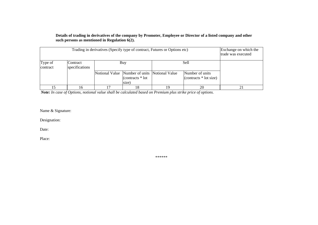#### **Details of trading in derivatives of the company by Promoter, Employee or Director of a listed company and other such persons as mentioned in Regulation 6(2).**

|                     | Exchange on which the<br>trade was executed |                                                                              |    |                                           |  |
|---------------------|---------------------------------------------|------------------------------------------------------------------------------|----|-------------------------------------------|--|
| Type of<br>contract | Contract<br>specifications                  | Buy                                                                          |    | Sell                                      |  |
|                     |                                             | Notional Value Number of units Notional Value<br>(contracts $*$ lot<br>size) |    | Number of units<br>(contracts * lot size) |  |
|                     | l b                                         |                                                                              | ١y | 20                                        |  |

 *Note: In case of Options, notional value shall be calculated based on Premium plus strike price of options.* 

Name & Signature:

Designation:

Date:

Place:

\*\*\*\*\*\*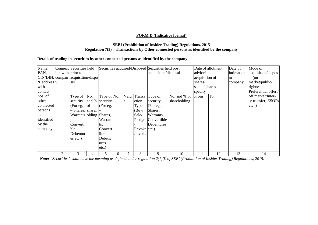#### **FORM D (Indicative format)**

#### **SEBI (Prohibition of Insider Trading) Regulations, 2015 Regulation 7(3) – Transactions by Other connected persons as identified by the company**

#### **Details of trading in securities by other connected persons as identified by the company**

| Name,                               |                   | Connect Securities held    |     |                |    |      |              | Securities acquired/Disposed Securities held post |              |                | Date of allotment | Date of    | Mode of              |
|-------------------------------------|-------------------|----------------------------|-----|----------------|----|------|--------------|---------------------------------------------------|--------------|----------------|-------------------|------------|----------------------|
| PAN,                                | ion with prior to |                            |     |                |    |      |              | acquisition/disposal                              |              | advice/        |                   | intimation | acquisition/dispos   |
| CIN/DIN, compan   acquisition/dispo |                   |                            |     |                |    |      |              |                                                   |              | acquisition of |                   | to         | al (on               |
| $\&$ address $\vert$ y              |                   | lsal                       |     |                |    |      |              |                                                   |              | shares/        |                   | company    | market/public/       |
| with                                |                   |                            |     |                |    |      |              |                                                   |              | sale of shares |                   |            | rights/              |
| contact                             |                   |                            |     |                |    |      |              |                                                   |              | specify        |                   |            | Preferential offer / |
| nos. of                             |                   | Type of                    | No. | Type of No.    |    | Valu |              | Transa Type of                                    | No. and % of | From           | To                |            | off market/Inter-    |
| other                               |                   | security                   |     | and % security |    | e    | ction        | security                                          | shareholding |                |                   |            | se transfer, ESOPs   |
| connected                           |                   | (For eg.                   | of  | (For eg.       |    |      | Type         | (For eg. $-$                                      |              |                |                   |            | $etc.$ )             |
| persons                             |                   | - Shares, shareh $\vert$ - |     |                |    |      | (Buy)        | Shares,                                           |              |                |                   |            |                      |
| as                                  |                   | Warrants olding Shares,    |     |                |    |      | Sale/        | Warrants,                                         |              |                |                   |            |                      |
| identified                          |                   |                            |     | Warran         |    |      |              | Pledge Convertible                                |              |                |                   |            |                      |
| by the                              |                   | Converti                   |     | ts.            |    |      |              | Debentures                                        |              |                |                   |            |                      |
| company                             |                   | ble                        |     | Convert        |    |      | Revoke etc.) |                                                   |              |                |                   |            |                      |
|                                     |                   | Debentur                   |     | ible           |    |      | /Invoke      |                                                   |              |                |                   |            |                      |
|                                     |                   | es etc.)                   |     | Debent         |    |      |              |                                                   |              |                |                   |            |                      |
|                                     |                   |                            |     | ures           |    |      |              |                                                   |              |                |                   |            |                      |
|                                     |                   |                            |     | etc.)          |    |      |              |                                                   |              |                |                   |            |                      |
|                                     | $\overline{2}$    | 3                          | 4   | ּר             | h. | 7    | 8            | 9                                                 | 10           | 11             | 12                | 13         | 14                   |

*Note: "Securities" shall have the meaning as defined under regulation 2(1)(i) of SEBI (Prohibition of Insider Trading) Regulations, 2015.*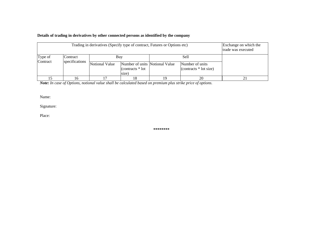#### **Details of trading in derivatives by other connected persons as identified by the company**

|          |                 | Trading in derivatives (Specify type of contract, Futures or Options etc)      |  |                                             | Exchange on which the<br>trade was executed |
|----------|-----------------|--------------------------------------------------------------------------------|--|---------------------------------------------|---------------------------------------------|
| Type of  | <b>Contract</b> | Buy                                                                            |  | Sell                                        |                                             |
| Contract | specifications  | Notional Value<br>Number of units Notional Value<br>(contracts * lot)<br>size) |  | Number of units<br>(contracts $*$ lot size) |                                             |
|          |                 |                                                                                |  |                                             |                                             |

*Note: In case of Options, notional value shall be calculated based on premium plus strike price of options.* 

Name:

Signature:

Place:

**\*\*\*\*\*\*\*\***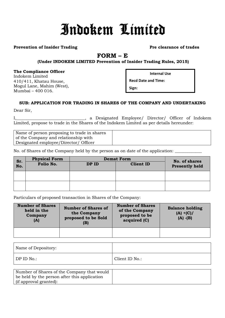# Indokem Limited

### **Prevention of Insider Trading Prevention of Insider Trading Pre-**

# **FORM – E**

# **(Under INDOKEM LIMITED Prevention of Insider Trading Rules, 2015)**

#### **The Compliance Officer**

Indokem Limited 410/411, Khatau House, Mogul Lane, Mahim (West), Mumbai – 400 016.

**Internal Use**

**Recd Date and Time:**

**Sign:**

# **SUB: APPLICATION FOR TRADING IN SHARES OF THE COMPANY AND UNDERTAKING**

Dear Sir,

I,\_\_\_\_\_\_\_\_\_\_\_\_\_\_\_\_\_\_\_\_\_\_\_\_\_\_\_\_\_\_\_\_\_, a Designated Employee/ Director/ Officer of Indokem Limited, propose to trade in the Shares of the Indokem Limited as per details hereunder:

Name of person proposing to trade in shares of the Company and relationship with Designated employee/Director/ Officer

No. of Shares of the Company held by the person as on date of the application:

| Sr. | <b>Physical Form</b> |       | <b>Demat Form</b> | No. of shares         |  |  |
|-----|----------------------|-------|-------------------|-----------------------|--|--|
| No. | Folio No.            | DP ID | <b>Client ID</b>  | <b>Presently held</b> |  |  |
|     |                      |       |                   |                       |  |  |
|     |                      |       |                   |                       |  |  |

Particulars of proposed transaction in Shares of the Company:

| <b>Number of Shares</b><br>held in the<br>Company<br>(A) | <b>Number of Shares of</b><br>the Company<br>proposed to be Sold<br>(B) | <b>Number of Shares</b><br>of the Company<br>proposed to be<br>acquired (C) | <b>Balance holding</b><br>$(A) + (C) /$<br>$(A)$ - $(B)$ |
|----------------------------------------------------------|-------------------------------------------------------------------------|-----------------------------------------------------------------------------|----------------------------------------------------------|
|                                                          |                                                                         |                                                                             |                                                          |

| Name of Depository: |                |
|---------------------|----------------|
| DP ID No.:          | Client ID No.: |

| Number of Shares of the Company that would   |  |
|----------------------------------------------|--|
| be held by the person after this application |  |
| (if approval granted):                       |  |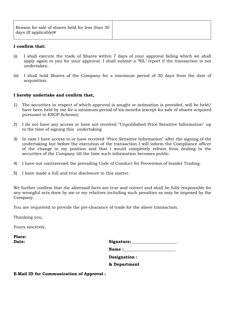| Reason for sale of shares held for less than 30<br>days (If applicable)# |  |
|--------------------------------------------------------------------------|--|
|--------------------------------------------------------------------------|--|

## **I confirm that:**

- (i) I shall execute the trade of Shares within 7 days of your approval failing which we shall apply again to you for your approval. I shall submit a 'NIL' report if the transaction is not undertaken.
- (ii) I shall hold Shares of the Company for a minimum period of 30 days from the date of acquisition.

#### **I hereby undertake and confirm that,**

- 1) The securities in respect of which approval is sought or intimation is provided, will be held/ have been held by me for a minimum period of six months (except for sale of shares acquired pursuant to ESOP Scheme);
- 2) I do not have any access or have not received "Unpublished Price Sensitive Information" up to the time of signing this undertaking
- 3) In case I have access to or have received "Price Sensitive Information" after the signing of the undertaking but before the execution of the transaction I will inform the Compliance officer of the change in my position and that I would completely refrain from dealing in the securities of the Company till the time such information becomes public.
- 4) I have not contravened the prevailing Code of Conduct for Prevention of Insider Trading.
- 5) I have made a full and true disclosure in this matter.

We further confirm that the aforesaid facts are true and correct and shall be fully responsible for any wrongful acts done by me or my relatives including such penalties as may be imposed by the Company.

You are requested to provide the pre‐clearance of trade for the above transaction.

Thanking you,

Yours sincerely,

**Place:** 

| <b>Date:</b> | Signature: |
|--------------|------------|
|              |            |

Name :

**Designation :**

**& Department**

**E‐Mail ID for Communication of Approval :**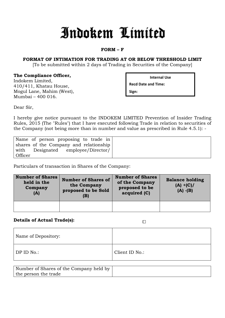# Indokem Limited

# **FORM – F**

# **FORMAT OF INTIMATION FOR TRADING AT OR BELOW THRESHOLD LIMIT**

[To be submitted within 2 days of Trading in Securities of the Company]

# **The Compliance Officer,**

Indokem Limited, 410/411, Khatau House, Mogul Lane, Mahim (West), Mumbai – 400 016.

**Internal Use**

**Recd Date and Time:**

**Sign:**

Dear Sir,

I hereby give notice pursuant to the INDOKEM LIMITED Prevention of Insider Trading Rules, 2015 (The "Rules") that I have executed following Trade in relation to securities of the Company (not being more than in number and value as prescribed in Rule 4.5.1): -

| Name of person proposing to trade in   |
|----------------------------------------|
| shares of the Company and relationship |
| with Designated employee/Director/     |
| Officer                                |

Particulars of transaction in Shares of the Company:

| <b>Number of Shares</b><br>held in the<br>Company<br>(A) | <b>Number of Shares of</b><br>the Company<br>proposed to be Sold<br>(B) | <b>Number of Shares</b><br>of the Company<br>proposed to be<br>acquired (C) | <b>Balance holding</b><br>$(A) + (C) /$<br>$(A) - (B)$ |
|----------------------------------------------------------|-------------------------------------------------------------------------|-----------------------------------------------------------------------------|--------------------------------------------------------|
|                                                          |                                                                         |                                                                             |                                                        |

# **Details of Actual Trade(s):**

 $\Box$ 

| Name of Depository: |                |
|---------------------|----------------|
| DP ID No.:          | Client ID No.: |

| Number of Shares of the Company held by |  |
|-----------------------------------------|--|
| the person the trade                    |  |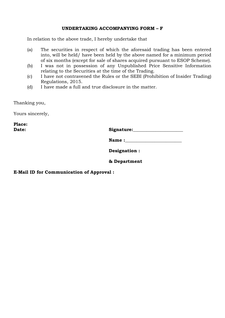# **UNDERTAKING ACCOMPANYING FORM – F**

In relation to the above trade, I hereby undertake that

- (a) The securities in respect of which the aforesaid trading has been entered into, will be held/ have been held by the above named for a minimum period of six months (except for sale of shares acquired pursuant to ESOP Scheme).
- (b) I was not in possession of any Unpublished Price Sensitive Information relating to the Securities at the time of the Trading.
- (c) I have not contravened the Rules or the SEBI (Prohibition of Insider Trading) Regulations, 2015.
- (d) I have made a full and true disclosure in the matter.

Thanking you,

Yours sincerely,

**Place:** 

Date: Signature:

| <b>Name:</b> |  |
|--------------|--|
|              |  |

**Designation :**

# **& Department**

**E‐Mail ID for Communication of Approval :**